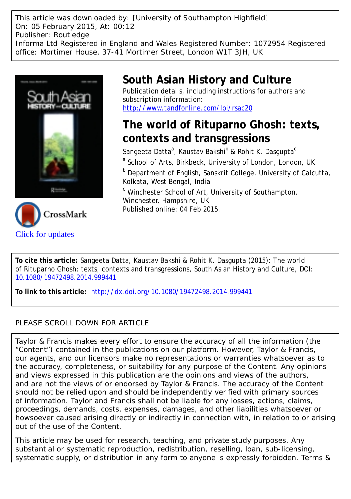This article was downloaded by: [University of Southampton Highfield] On: 05 February 2015, At: 00:12 Publisher: Routledge Informa Ltd Registered in England and Wales Registered Number: 1072954 Registered office: Mortimer House, 37-41 Mortimer Street, London W1T 3JH, UK





## **South Asian History and Culture**

Publication details, including instructions for authors and subscription information: <http://www.tandfonline.com/loi/rsac20>

# **The world of Rituparno Ghosh: texts, contexts and transgressions**

Sangeeta Datta<sup>a</sup>, Kaustav Bakshi<sup>b</sup> & Rohit K. Dasgupta<sup>c</sup> <sup>a</sup> School of Arts, Birkbeck, University of London, London, UK b Department of English, Sanskrit College, University of Calcutta,

Kolkata, West Bengal, India <sup>c</sup> Winchester School of Art, University of Southampton, Winchester, Hampshire, UK Published online: 04 Feb 2015.

**To cite this article:** Sangeeta Datta, Kaustav Bakshi & Rohit K. Dasgupta (2015): The world of Rituparno Ghosh: texts, contexts and transgressions, South Asian History and Culture, DOI: [10.1080/19472498.2014.999441](http://www.tandfonline.com/action/showCitFormats?doi=10.1080/19472498.2014.999441)

**To link to this article:** <http://dx.doi.org/10.1080/19472498.2014.999441>

### PLEASE SCROLL DOWN FOR ARTICLE

Taylor & Francis makes every effort to ensure the accuracy of all the information (the "Content") contained in the publications on our platform. However, Taylor & Francis, our agents, and our licensors make no representations or warranties whatsoever as to the accuracy, completeness, or suitability for any purpose of the Content. Any opinions and views expressed in this publication are the opinions and views of the authors, and are not the views of or endorsed by Taylor & Francis. The accuracy of the Content should not be relied upon and should be independently verified with primary sources of information. Taylor and Francis shall not be liable for any losses, actions, claims, proceedings, demands, costs, expenses, damages, and other liabilities whatsoever or howsoever caused arising directly or indirectly in connection with, in relation to or arising out of the use of the Content.

This article may be used for research, teaching, and private study purposes. Any substantial or systematic reproduction, redistribution, reselling, loan, sub-licensing, systematic supply, or distribution in any form to anyone is expressly forbidden. Terms &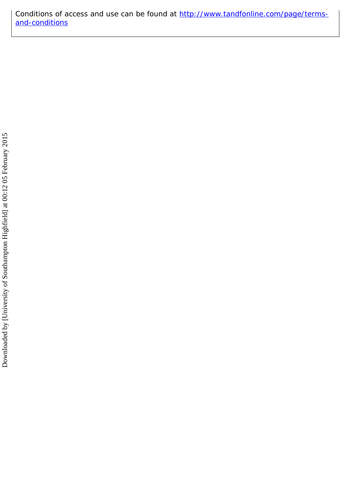Conditions of access and use can be found at [http://www.tandfonline.com/page/terms](http://www.tandfonline.com/page/terms-and-conditions)[and-conditions](http://www.tandfonline.com/page/terms-and-conditions)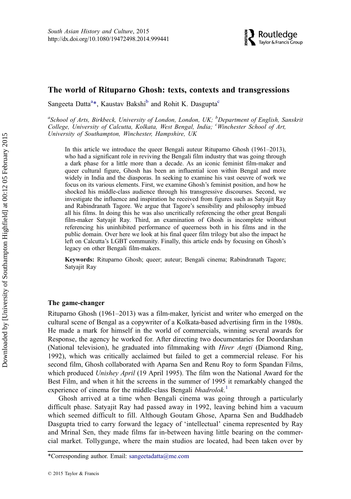

### The world of Rituparno Ghosh: texts, contexts and transgressions

Sangeeta Datta<sup>a</sup>\*, Kaustav Bakshi<sup>b</sup> and Rohit K. Dasgupta<sup>c</sup>

<sup>a</sup>School of Arts, Birkbeck, University of London, London, UK; <sup>b</sup>Department of English, Sanskrii College, University of Calcutta, Kolkata, West Bengal, India; <sup>c</sup>Winchester School of Art, University of Southampton, Winchester, Hampshire, UK

In this article we introduce the queer Bengali auteur Rituparno Ghosh (1961–2013), who had a significant role in reviving the Bengali film industry that was going through a dark phase for a little more than a decade. As an iconic feminist film-maker and queer cultural figure, Ghosh has been an influential icon within Bengal and more widely in India and the diasporas. In seeking to examine his vast oeuvre of work we focus on its various elements. First, we examine Ghosh's feminist position, and how he shocked his middle-class audience through his transgressive discourses. Second, we investigate the influence and inspiration he received from figures such as Satyajit Ray and Rabindranath Tagore. We argue that Tagore's sensibility and philosophy imbued all his films. In doing this he was also uncritically referencing the other great Bengali film-maker Satyajit Ray. Third, an examination of Ghosh is incomplete without referencing his uninhibited performance of queerness both in his films and in the public domain. Over here we look at his final queer film trilogy but also the impact he left on Calcutta's LGBT community. Finally, this article ends by focusing on Ghosh's legacy on other Bengali film-makers.

Keywords: Rituparno Ghosh; queer; auteur; Bengali cinema; Rabindranath Tagore; Satyajit Ray

#### The game-changer

Rituparno Ghosh (1961–2013) was a film-maker, lyricist and writer who emerged on the cultural scene of Bengal as a copywriter of a Kolkata-based advertising firm in the 1980s. He made a mark for himself in the world of commercials, winning several awards for Response, the agency he worked for. After directing two documentaries for Doordarshan (National television), he graduated into filmmaking with Hirer Angti (Diamond Ring, 1992), which was critically acclaimed but failed to get a commercial release. For his second film, Ghosh collaborated with Aparna Sen and Renu Roy to form Spandan Films, which produced Unishey April (19 April 1995). The film won the National Award for the Best Film, and when it hit the screens in the summer of 1995 it remarkably changed the experience of cinema for the middle-class Bengali bhadrolok.<sup>[1](#page-15-0)</sup>

Ghosh arrived at a time when Bengali cinema was going through a particularly difficult phase. Satyajit Ray had passed away in 1992, leaving behind him a vacuum which seemed difficult to fill. Although Goutam Ghose, Aparna Sen and Buddhadeb Dasgupta tried to carry forward the legacy of 'intellectual' cinema represented by Ray and Mrinal Sen, they made films far in-between having little bearing on the commercial market. Tollygunge, where the main studios are located, had been taken over by

<sup>\*</sup>Corresponding author. Email: sangeetadatta@me.com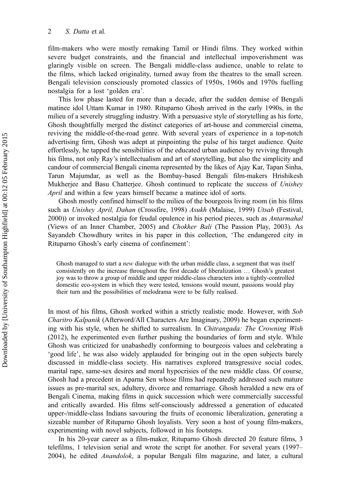film-makers who were mostly remaking Tamil or Hindi films. They worked within severe budget constraints, and the financial and intellectual impoverishment was glaringly visible on screen. The Bengali middle-class audience, unable to relate to the films, which lacked originality, turned away from the theatres to the small screen. Bengali television consciously promoted classics of 1950s, 1960s and 1970s fuelling nostalgia for a lost 'golden era'.

This low phase lasted for more than a decade, after the sudden demise of Bengali matinee idol Uttam Kumar in 1980. Rituparno Ghosh arrived in the early 1990s, in the milieu of a severely struggling industry. With a persuasive style of storytelling as his forte, Ghosh thoughtfully merged the distinct categories of art-house and commercial cinema, reviving the middle-of-the-road genre. With several years of experience in a top-notch advertising firm, Ghosh was adept at pinpointing the pulse of his target audience. Quite effortlessly, he tapped the sensibilities of the educated urban audience by reviving through his films, not only Ray's intellectualism and art of storytelling, but also the simplicity and candour of commercial Bengali cinema represented by the likes of Ajay Kar, Tapan Sinha, Tarun Majumdar, as well as the Bombay-based Bengali film-makers Hrishikesh Mukherjee and Basu Chatterjee. Ghosh continued to replicate the success of Unishey April and within a few years himself became a matinee idol of sorts.

Ghosh mostly confined himself to the milieu of the bourgeois living room (in his films such as Unishey April, Dahan (Crossfire, 1998) Asukh (Malaise, 1999) Utsab (Festival, 2000)) or invoked nostalgia for feudal opulence in his period pieces, such as *Antarmahal* (Views of an Inner Chamber, 2005) and Chokher Bali (The Passion Play, 2003). As Sayandeb Chowdhury writes in his paper in this collection, 'The endangered city in Rituparno Ghosh's early cinema of confinement':

Ghosh managed to start a *new* dialogue with the urban middle class, a segment that was itself consistently on the increase throughout the first decade of liberalization … Ghosh's greatest joy was to throw a group of middle and upper middle-class characters into a tightly-controlled domestic eco-system in which they were tested, tensions would mount, passions would play their turn and the possibilities of melodrama were to be fully realised.

In most of his films, Ghosh worked within a strictly realistic mode. However, with Sob Charitro Kalpanik (Afterword/All Characters Are Imaginary, 2009) he began experimenting with his style, when he shifted to surrealism. In Chitrangada: The Crowning Wish (2012), he experimented even further pushing the boundaries of form and style. While Ghosh was criticized for unabashedly conforming to bourgeois values and celebrating a 'good life', he was also widely applauded for bringing out in the open subjects barely discussed in middle-class society. His narratives explored transgressive social codes, marital rape, same-sex desires and moral hypocrisies of the new middle class. Of course, Ghosh had a precedent in Aparna Sen whose films had repeatedly addressed such mature issues as pre-marital sex, adultery, divorce and remarriage. Ghosh heralded a new era of Bengali Cinema, making films in quick succession which were commercially successful and critically awarded. His films self-consciously addressed a generation of educated upper-/middle-class Indians savouring the fruits of economic liberalization, generating a sizeable number of Rituparno Ghosh loyalists. Very soon a host of young film-makers, experimenting with novel subjects, followed in his footsteps.

In his 20-year career as a film-maker, Rituparno Ghosh directed 20 feature films, 3 telefilms, 1 television serial and wrote the script for another. For several years (1997– 2004), he edited Anandolok, a popular Bengali film magazine, and later, a cultural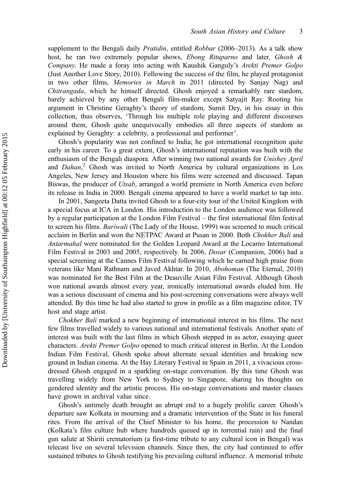supplement to the Bengali daily *Pratidin*, entitled *Robbar* (2006–2013). As a talk show host, he ran two extremely popular shows, Ebong Rituparno and later, Ghosh & Company. He made a foray into acting with Kaushik Ganguly's Arekti Premer Golpo (Just Another Love Story, 2010). Following the success of the film, he played protagonist in two other films, Memories in March in 2011 (directed by Sanjay Nag) and Chitrangada, which he himself directed. Ghosh enjoyed a remarkably rare stardom, barely achieved by any other Bengali film-maker except Satyajit Ray. Rooting his argument in Christine Geraghty's theory of stardom, Sumit Dey, in his essay in this collection, thus observes, 'Through his multiple role playing and different discourses around them, Ghosh quite unequivocally embodies all three aspects of stardom as explained by Geraghty: a celebrity, a professional and performer'.

Ghosh's popularity was not confined to India; he got international recognition quite early in his career. To a great extent, Ghosh's international reputation was built with the enthusiasm of the Bengali diaspora. After winning two national awards for Unishey April and *Dahan*,<sup>[2](#page-15-0)</sup> Ghosh was invited to North America by cultural organizations in Los Angeles, New Jersey and Houston where his films were screened and discussed. Tapan Biswas, the producer of Utsab, arranged a world premiere in North America even before its release in India in 2000. Bengali cinema appeared to have a world market to tap into.

In 2001, Sangeeta Datta invited Ghosh to a four-city tour of the United Kingdom with a special focus at ICA in London. His introduction to the London audience was followed by a regular participation at the London Film Festival – the first international film festival to screen his films. *Bariwali* (The Lady of the House, 1999) was screened to much critical acclaim in Berlin and won the NETPAC Award at Pusan in 2000. Both Chokher Bali and Antarmahal were nominated for the Golden Leopard Award at the Locarno International Film Festival in 2003 and 2005, respectively. In 2006, Dosar (Companion, 2006) had a special screening at the Cannes Film Festival following which he earned high praise from veterans like Mani Rathnam and Javed Akhtar. In 2010, Abohoman (The Eternal, 2010) was nominated for the Best Film at the Deauville Asian Film Festival. Although Ghosh won national awards almost every year, ironically international awards eluded him. He was a serious discussant of cinema and his post-screening conversations were always well attended. By this time he had also started to grow in profile as a film magazine editor, TV host and stage artist.

Chokher Bali marked a new beginning of international interest in his films. The next few films travelled widely to various national and international festivals. Another spate of interest was built with the last films in which Ghosh stepped in as actor, essaying queer characters. Arekti Premer Golpo opened to much critical interest in Berlin. At the London Indian Film Festival, Ghosh spoke about alternate sexual identities and breaking new ground in Indian cinema. At the Hay Literary Festival in Spain in 2011, a vivacious crossdressed Ghosh engaged in a sparkling on-stage conversation. By this time Ghosh was travelling widely from New York to Sydney to Singapore, sharing his thoughts on gendered identity and the artistic process. His on-stage conversations and master classes have grown in archival value since.

Ghosh's untimely death brought an abrupt end to a hugely prolific career. Ghosh's departure saw Kolkata in mourning and a dramatic intervention of the State in his funeral rites. From the arrival of the Chief Minister to his home, the procession to Nandan (Kolkata's film culture hub where hundreds queued up in torrential rain) and the final gun salute at Shiriti crematorium (a first-time tribute to any cultural icon in Bengal) was telecast live on several television channels. Since then, the city had continued to offer sustained tributes to Ghosh testifying his prevailing cultural influence. A memorial tribute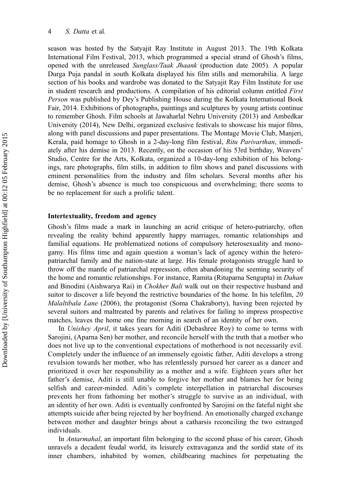season was hosted by the Satyajit Ray Institute in August 2013. The 19th Kolkata International Film Festival, 2013, which programmed a special strand of Ghosh's films, opened with the unreleased Sunglass/Taak Jhaank (production date 2005). A popular Durga Puja pandal in south Kolkata displayed his film stills and memorabilia. A large section of his books and wardrobe was donated to the Satyajit Ray Film Institute for use in student research and productions. A compilation of his editorial column entitled *First* Person was published by Dey's Publishing House during the Kolkata International Book Fair, 2014. Exhibitions of photographs, paintings and sculptures by young artists continue to remember Ghosh. Film schools at Jawaharlal Nehru University (2013) and Ambedkar University (2014), New Delhi, organized exclusive festivals to showcase his major films, along with panel discussions and paper presentations. The Montage Movie Club, Manjeri, Kerala, paid homage to Ghosh in a 2-day-long film festival, Ritu Parivarthan, immediately after his demise in 2013. Recently, on the occasion of his 53rd birthday, Weavers' Studio, Centre for the Arts, Kolkata, organized a 10-day-long exhibition of his belongings, rare photographs, film stills, in addition to film shows and panel discussions with eminent personalities from the industry and film scholars. Several months after his demise, Ghosh's absence is much too conspicuous and overwhelming; there seems to be no replacement for such a prolific talent.

#### Intertextuality, freedom and agency

Ghosh's films made a mark in launching an acrid critique of hetero-patriarchy, often revealing the reality behind apparently happy marriages, romantic relationships and familial equations. He problematized notions of compulsory heterosexuality and monogamy. His films time and again question a woman's lack of agency within the heteropatriarchal family and the nation-state at large. His female protagonists struggle hard to throw off the mantle of patriarchal repression, often abandoning the seeming security of the home and romantic relationships. For instance, Ramita (Rituparna Sengupta) in Dahan and Binodini (Aishwarya Rai) in *Chokher Bali* walk out on their respective husband and suitor to discover a life beyond the restrictive boundaries of the home. In his telefilm, 20 Malaltibala Lane (2006), the protagonist (Soma Chakraborty), having been rejected by several suitors and maltreated by parents and relatives for failing to impress prospective matches, leaves the home one fine morning in search of an identity of her own.

In Unishey April, it takes years for Aditi (Debashree Roy) to come to terms with Sarojini, (Aparna Sen) her mother, and reconcile herself with the truth that a mother who does not live up to the conventional expectations of motherhood is not necessarily evil. Completely under the influence of an immensely egoistic father, Aditi develops a strong revulsion towards her mother, who has relentlessly pursued her career as a dancer and prioritized it over her responsibility as a mother and a wife. Eighteen years after her father's demise, Aditi is still unable to forgive her mother and blames her for being selfish and career-minded. Aditi's complete interpellation in patriarchal discourses prevents her from fathoming her mother's struggle to survive as an individual, with an identity of her own. Aditi is eventually confronted by Sarojini on the fateful night she attempts suicide after being rejected by her boyfriend. An emotionally charged exchange between mother and daughter brings about a catharsis reconciling the two estranged individuals.

In *Antarmahal*, an important film belonging to the second phase of his career, Ghosh unravels a decadent feudal world, its leisurely extravaganza and the sordid state of its inner chambers, inhabited by women, childbearing machines for perpetuating the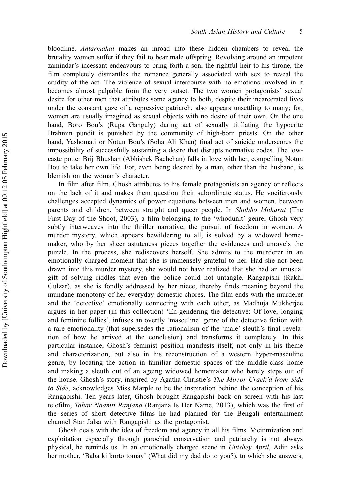bloodline. Antarmahal makes an inroad into these hidden chambers to reveal the brutality women suffer if they fail to bear male offspring. Revolving around an impotent zamindar's incessant endeavours to bring forth a son, the rightful heir to his throne, the film completely dismantles the romance generally associated with sex to reveal the crudity of the act. The violence of sexual intercourse with no emotions involved in it becomes almost palpable from the very outset. The two women protagonists' sexual desire for other men that attributes some agency to both, despite their incarcerated lives under the constant gaze of a repressive patriarch, also appears unsettling to many; for, women are usually imagined as sexual objects with no desire of their own. On the one hand, Boro Bou's (Rupa Ganguly) daring act of sexually titillating the hypocrite Brahmin pundit is punished by the community of high-born priests. On the other hand, Yashomati or Notun Bou's (Soha Ali Khan) final act of suicide underscores the impossibility of successfully sustaining a desire that disrupts normative codes. The lowcaste potter Brij Bhushan (Abhishek Bachchan) falls in love with her, compelling Notun Bou to take her own life. For, even being desired by a man, other than the husband, is blemish on the woman's character.

In film after film, Ghosh attributes to his female protagonists an agency or reflects on the lack of it and makes them question their subordinate status. He vociferously challenges accepted dynamics of power equations between men and women, between parents and children, between straight and queer people. In Shubho Muharat (The First Day of the Shoot, 2003), a film belonging to the 'whodunit' genre, Ghosh very subtly interweaves into the thriller narrative, the pursuit of freedom in women. A murder mystery, which appears bewildering to all, is solved by a widowed homemaker, who by her sheer astuteness pieces together the evidences and unravels the puzzle. In the process, she rediscovers herself. She admits to the murderer in an emotionally charged moment that she is immensely grateful to her. Had she not been drawn into this murder mystery, she would not have realized that she had an unusual gift of solving riddles that even the police could not untangle. Rangapishi (Rakhi Gulzar), as she is fondly addressed by her niece, thereby finds meaning beyond the mundane monotony of her everyday domestic chores. The film ends with the murderer and the 'detective' emotionally connecting with each other, as Madhuja Mukherjee argues in her paper (in this collection) 'En-gendering the detective: Of love, longing and feminine follies', infuses an overtly 'masculine' genre of the detective fiction with a rare emotionality (that supersedes the rationalism of the 'male' sleuth's final revelation of how he arrived at the conclusion) and transforms it completely. In this particular instance, Ghosh's feminist position manifests itself, not only in his theme and characterization, but also in his reconstruction of a western hyper-masculine genre, by locating the action in familiar domestic spaces of the middle-class home and making a sleuth out of an ageing widowed homemaker who barely steps out of the house. Ghosh's story, inspired by Agatha Christie's The Mirror Crack'd from Side to Side, acknowledges Miss Marple to be the inspiration behind the conception of his Rangapishi. Ten years later, Ghosh brought Rangapishi back on screen with his last telefilm, Tahar Naamti Ranjana (Ranjana Is Her Name, 2013), which was the first of the series of short detective films he had planned for the Bengali entertainment channel Star Jalsa with Rangapishi as the protagonist.

Ghosh deals with the idea of freedom and agency in all his films. Vicitimization and exploitation especially through parochial conservatism and patriarchy is not always physical, he reminds us. In an emotionally charged scene in Unishey April, Aditi asks her mother, 'Baba ki korto tomay' (What did my dad do to you?), to which she answers,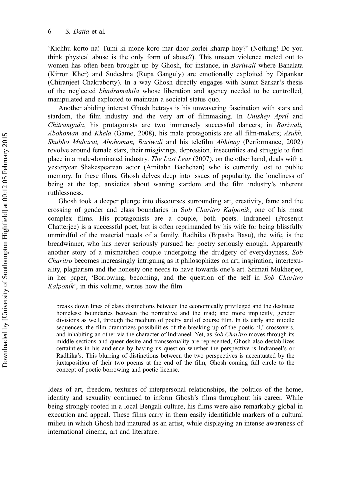'Kichhu korto na! Tumi ki mone koro mar dhor korlei kharap hoy?' (Nothing! Do you think physical abuse is the only form of abuse?). This unseen violence meted out to women has often been brought up by Ghosh, for instance, in *Bariwali* where Banalata (Kirron Kher) and Sudeshna (Rupa Ganguly) are emotionally exploited by Dipankar (Chiranjeet Chakraborty). In a way Ghosh directly engages with Sumit Sarkar's thesis of the neglected bhadramahila whose liberation and agency needed to be controlled, manipulated and exploited to maintain a societal status quo.

Another abiding interest Ghosh betrays is his unwavering fascination with stars and stardom, the film industry and the very art of filmmaking. In Unishey April and Chitrangada, his protagonists are two immensely successful dancers; in Bariwali, Abohoman and Khela (Game, 2008), his male protagonists are all film-makers; Asukh, Shubho Muharat, Abohoman, Bariwali and his telefilm Abhinay (Performance, 2002) revolve around female stars, their misgivings, depression, insecurities and struggle to find place in a male-dominated industry. The Last Lear (2007), on the other hand, deals with a yesteryear Shakespearean actor (Amitabh Bachchan) who is currently lost to public memory. In these films, Ghosh delves deep into issues of popularity, the loneliness of being at the top, anxieties about waning stardom and the film industry's inherent ruthlessness.

Ghosh took a deeper plunge into discourses surrounding art, creativity, fame and the crossing of gender and class boundaries in Sob Charitro Kalponik, one of his most complex films. His protagonists are a couple, both poets. Indraneel (Prosenjit Chatterjee) is a successful poet, but is often reprimanded by his wife for being blissfully unmindful of the material needs of a family. Radhika (Bipasha Basu), the wife, is the breadwinner, who has never seriously pursued her poetry seriously enough. Apparently another story of a mismatched couple undergoing the drudgery of everydayness, Sob Charitro becomes increasingly intriguing as it philosophizes on art, inspiration, intertexuality, plagiarism and the honesty one needs to have towards one's art. Srimati Mukherjee, in her paper, 'Borrowing, becoming, and the question of the self in Sob Charitro Kalponik', in this volume, writes how the film

breaks down lines of class distinctions between the economically privileged and the destitute homeless; boundaries between the normative and the mad; and more implicitly, gender divisions as well, through the medium of poetry and of course film. In its early and middle sequences, the film dramatizes possibilities of the breaking up of the poetic 'I,' crossovers, and inhabiting an other via the character of Indraneel. Yet, as Sob Charitro moves through its middle sections and queer desire and transsexuality are represented, Ghosh also destabilizes certainties in his audience by having us question whether the perspective is Indraneel's or Radhika's. This blurring of distinctions between the two perspectives is accentuated by the juxtaposition of their two poems at the end of the film, Ghosh coming full circle to the concept of poetic borrowing and poetic license.

Ideas of art, freedom, textures of interpersonal relationships, the politics of the home, identity and sexuality continued to inform Ghosh's films throughout his career. While being strongly rooted in a local Bengali culture, his films were also remarkably global in execution and appeal. These films carry in them easily identifiable markers of a cultural milieu in which Ghosh had matured as an artist, while displaying an intense awareness of international cinema, art and literature.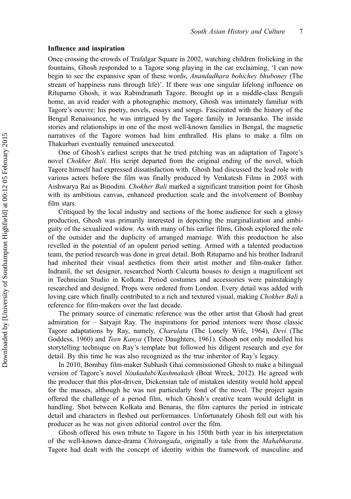#### Influence and inspiration

Once crossing the crowds of Trafalgar Square in 2002, watching children frolicking in the fountains, Ghosh responded to a Tagore song playing in the car exclaiming, 'I can now begin to see the expansive span of these words, Anandadhara bohichey bhuboney (The stream of happiness runs through life)'. If there was one singular lifelong influence on Rituparno Ghosh, it was Rabindranath Tagore. Brought up in a middle-class Bengali home, an avid reader with a photographic memory, Ghosh was intimately familiar with Tagore's oeuvre: his poetry, novels, essays and songs. Fascinated with the history of the Bengal Renaissance, he was intrigued by the Tagore family in Joransanko. The inside stories and relationships in one of the most well-known families in Bengal, the magnetic narratives of the Tagore women had him enthralled. His plans to make a film on Thakurbari eventually remained unexecuted.

One of Ghosh's earliest scripts that he tried pitching was an adaptation of Tagore's novel *Chokher Bali*. His script departed from the original ending of the novel, which Tagore himself had expressed dissatisfaction with. Ghosh had discussed the lead role with various actors before the film was finally produced by Venkatesh Films in 2003 with Aishwarya Rai as Binodini. Chokher Bali marked a significant transition point for Ghosh with its ambitious canvas, enhanced production scale and the involvement of Bombay film stars.

Critiqued by the local industry and sections of the home audience for such a glossy production, Ghosh was primarily interested in depicting the marginalization and ambiguity of the sexualized widow. As with many of his earlier films, Ghosh explored the role of the outsider and the duplicity of arranged marriage. With this production he also revelled in the potential of an opulent period setting. Armed with a talented production team, the period research was done in great detail. Both Rituparno and his brother Indranil had inherited their visual aesthetics from their artist mother and film-maker father. Indranil, the set designer, researched North Calcutta houses to design a magnificent set in Technician Studio in Kolkata. Period costumes and accessories were painstakingly researched and designed. Props were ordered from London. Every detail was added with loving care which finally contributed to a rich and textured visual, making Chokher Bali a reference for film-makers over the last decade.

The primary source of cinematic reference was the other artist that Ghosh had great admiration for – Satyajit Ray. The inspirations for period interiors were those classic Tagore adaptations by Ray, namely, Charulata (The Lonely Wife, 1964), Devi (The Goddess, 1960) and *Teen Kanya* (Three Daughters, 1961). Ghosh not only modelled his storytelling technique on Ray's template but followed his diligent research and eye for detail. By this time he was also recognized as the true inheritor of Ray's legacy.

In 2010, Bombay film-maker Subhash Ghai commissioned Ghosh to make a bilingual version of Tagore's novel Noukadubi/Kashmakash (Boat Wreck, 2012). He agreed with the producer that this plot-driven, Dickensian tale of mistaken identity would hold appeal for the masses, although he was not particularly fond of the novel. The project again offered the challenge of a period film, which Ghosh's creative team would delight in handling. Shot between Kolkata and Benaras, the film captures the period in intricate detail and characters in fleshed out performances. Unfortunately Ghosh fell out with his producer as he was not given editorial control over the film.

Ghosh offered his own tribute to Tagore in his 150th birth year in his interpretation of the well-known dance-drama Chitrangada, originally a tale from the Mahabharata. Tagore had dealt with the concept of identity within the framework of masculine and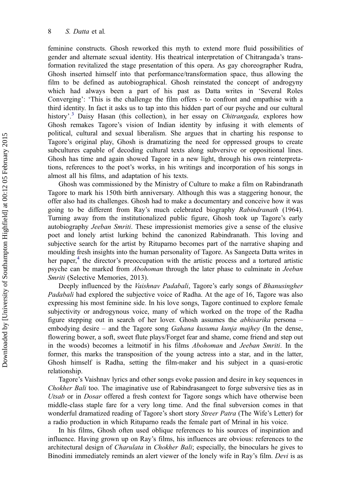feminine constructs. Ghosh reworked this myth to extend more fluid possibilities of gender and alternate sexual identity. His theatrical interpretation of Chitrangada's transformation revitalized the stage presentation of this opera. As gay choreographer Rudra, Ghosh inserted himself into that performance/transformation space, thus allowing the film to be defined as autobiographical. Ghosh reinstated the concept of androgyny which had always been a part of his past as Datta writes in 'Several Roles Converging': 'This is the challenge the film offers - to confront and empathise with a third identity. In fact it asks us to tap into this hidden part of our psyche and our cultural history'.<sup>[3](#page-15-0)</sup> Daisy Hasan (this collection), in her essay on *Chitrangada*, explores how Ghosh remakes Tagore's vision of Indian identity by infusing it with elements of political, cultural and sexual liberalism. She argues that in charting his response to Tagore's original play, Ghosh is dramatizing the need for oppressed groups to create subcultures capable of decoding cultural texts along subversive or oppositional lines. Ghosh has time and again showed Tagore in a new light, through his own reinterpretations, references to the poet's works, in his writings and incorporation of his songs in almost all his films, and adaptation of his texts.

Ghosh was commissioned by the Ministry of Culture to make a film on Rabindranath Tagore to mark his 150th birth anniversary. Although this was a staggering honour, the offer also had its challenges. Ghosh had to make a documentary and conceive how it was going to be different from Ray's much celebrated biography Rabindranath (1964). Turning away from the institutionalized public figure, Ghosh took up Tagore's early autobiography *Jeeban Smriti*. These impressionist memories give a sense of the elusive poet and lonely artist lurking behind the canonized Rabindranath. This loving and subjective search for the artist by Rituparno becomes part of the narrative shaping and moulding fresh insights into the human personality of Tagore. As Sangeeta Datta writes in her paper, $4$  the director's preoccupation with the artistic process and a tortured artistic psyche can be marked from *Abohoman* through the later phase to culminate in *Jeeban* Smriti (Selective Memories, 2013).

Deeply influenced by the *Vaishnav Padabali*, Tagore's early songs of *Bhanusingher* Padabali had explored the subjective voice of Radha. At the age of 16, Tagore was also expressing his most feminine side. In his love songs, Tagore continued to explore female subjectivity or androgynous voice, many of which worked on the trope of the Radha figure stepping out in search of her lover. Ghosh assumes the abhisarika persona – embodying desire – and the Tagore song *Gahana kusuma kunja majhey* (In the dense, flowering bower, a soft, sweet flute plays/Forget fear and shame, come friend and step out in the woods) becomes a leitmotif in his films *Abohoman* and *Jeeban Smriti*. In the former, this marks the transposition of the young actress into a star, and in the latter, Ghosh himself is Radha, setting the film-maker and his subject in a quasi-erotic relationship.

Tagore's Vaishnav lyrics and other songs evoke passion and desire in key sequences in Chokher Bali too. The imaginative use of Rabindrasangeet to forge subversive ties as in Utsab or in *Dosar* offered a fresh context for Tagore songs which have otherwise been middle-class staple fare for a very long time. And the final subversion comes in that wonderful dramatized reading of Tagore's short story *Streer Patra* (The Wife's Letter) for a radio production in which Rituparno reads the female part of Mrinal in his voice.

In his films, Ghosh often used oblique references to his sources of inspiration and influence. Having grown up on Ray's films, his influences are obvious: references to the architectural design of *Charulata* in *Chokher Bali*; especially, the binoculars he gives to Binodini immediately reminds an alert viewer of the lonely wife in Ray's film. *Devi* is as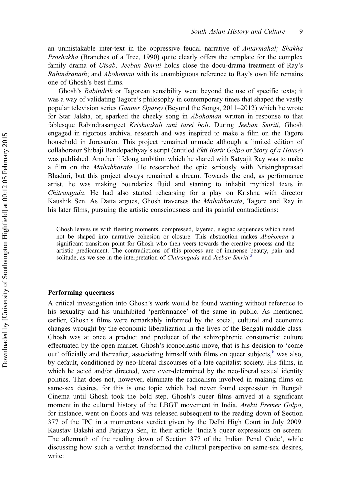an unmistakable inter-text in the oppressive feudal narrative of Antarmahal; Shakha Proshakha (Branches of a Tree, 1990) quite clearly offers the template for the complex family drama of *Utsab; Jeeban Smriti* holds close the docu-drama treatment of Ray's Rabindranath; and Abohoman with its unambiguous reference to Ray's own life remains one of Ghosh's best films.

Ghosh's Rabindrik or Tagorean sensibility went beyond the use of specific texts; it was a way of validating Tagore's philosophy in contemporary times that shaped the vastly popular television series Gaaner Oparey (Beyond the Songs, 2011–2012) which he wrote for Star Jalsha, or, sparked the cheeky song in Abohoman written in response to that fablesque Rabindrasangeet Krishnakali ami tarei boli. During Jeeban Smriti, Ghosh engaged in rigorous archival research and was inspired to make a film on the Tagore household in Jorasanko. This project remained unmade although a limited edition of collaborator Shibaji Bandopadhyay's script (entitled Ekti Barir Golpo or Story of a House) was published. Another lifelong ambition which he shared with Satyajit Ray was to make a film on the *Mahabharata*. He researched the epic seriously with Nrisinghaprasad Bhaduri, but this project always remained a dream. Towards the end, as performance artist, he was making boundaries fluid and starting to inhabit mythical texts in Chitrangada. He had also started rehearsing for a play on Krishna with director Kaushik Sen. As Datta argues, Ghosh traverses the Mahabharata, Tagore and Ray in his later films, pursuing the artistic consciousness and its painful contradictions:

Ghosh leaves us with fleeting moments, compressed, layered, elegiac sequences which need not be shaped into narrative cohesion or closure. This abstraction makes Abohoman a significant transition point for Ghosh who then veers towards the creative process and the artistic predicament. The contradictions of this process are of immense beauty, pain and solitude, as we see in the interpretation of *Chitrangada* and *Jeeban Smriti.*<sup>[5](#page-15-0)</sup>

#### Performing queerness

A critical investigation into Ghosh's work would be found wanting without reference to his sexuality and his uninhibited 'performance' of the same in public. As mentioned earlier, Ghosh's films were remarkably informed by the social, cultural and economic changes wrought by the economic liberalization in the lives of the Bengali middle class. Ghosh was at once a product and producer of the schizophrenic consumerist culture effectuated by the open market. Ghosh's iconoclastic move, that is his decision to 'come out' officially and thereafter, associating himself with films on queer subjects, $6$  was also, by default, conditioned by neo-liberal discourses of a late capitalist society. His films, in which he acted and/or directed, were over-determined by the neo-liberal sexual identity politics. That does not, however, eliminate the radicalism involved in making films on same-sex desires, for this is one topic which had never found expression in Bengali Cinema until Ghosh took the bold step. Ghosh's queer films arrived at a significant moment in the cultural history of the LBGT movement in India. Arekti Premer Golpo, for instance, went on floors and was released subsequent to the reading down of Section 377 of the IPC in a momentous verdict given by the Delhi High Court in July 2009. Kaustav Bakshi and Parjanya Sen, in their article 'India's queer expressions on screen: The aftermath of the reading down of Section 377 of the Indian Penal Code', while discussing how such a verdict transformed the cultural perspective on same-sex desires, write: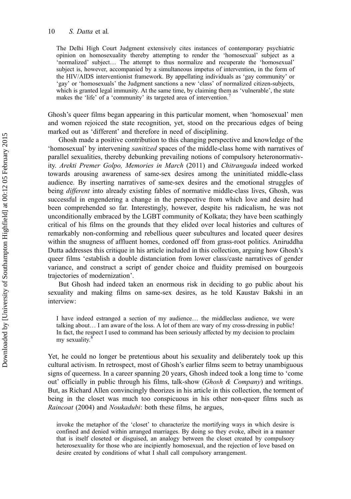The Delhi High Court Judgment extensively cites instances of contemporary psychiatric opinion on homosexuality thereby attempting to render the 'homosexual' subject as a 'normalized' subject… The attempt to thus normalize and recuperate the 'homosexual' subject is, however, accompanied by a simultaneous impetus of intervention, in the form of the HIV/AIDS interventionist framework. By appellating individuals as 'gay community' or 'gay' or 'homosexuals' the Judgment sanctions a new 'class' of normalized citizen-subjects, which is granted legal immunity. At the same time, by claiming them as 'vulnerable', the state makes the 'life' of a 'community' its targeted area of intervention.

Ghosh's queer films began appearing in this particular moment, when 'homosexual' men and women rejoiced the state recognition, yet, stood on the precarious edges of being marked out as 'different' and therefore in need of disciplining.

Ghosh made a positive contribution to this changing perspective and knowledge of the 'homosexual' by intervening sanitized spaces of the middle-class home with narratives of parallel sexualities, thereby debunking prevailing notions of compulsory heteronormativity. Arekti Premer Golpo, Memories in March (2011) and Chitrangada indeed worked towards arousing awareness of same-sex desires among the uninitiated middle-class audience. By inserting narratives of same-sex desires and the emotional struggles of being *different* into already existing fables of normative middle-class lives, Ghosh, was successful in engendering a change in the perspective from which love and desire had been comprehended so far. Interestingly, however, despite his radicalism, he was not unconditionally embraced by the LGBT community of Kolkata; they have been scathingly critical of his films on the grounds that they elided over local histories and cultures of remarkably non-conforming and rebellious queer subcultures and located queer desires within the snugness of affluent homes, cordoned off from grass-root politics. Aniruddha Dutta addresses this critique in his article included in this collection, arguing how Ghosh's queer films 'establish a double distanciation from lower class/caste narratives of gender variance, and construct a script of gender choice and fluidity premised on bourgeois trajectories of modernization'.

But Ghosh had indeed taken an enormous risk in deciding to go public about his sexuality and making films on same-sex desires, as he told Kaustav Bakshi in an interview:

I have indeed estranged a section of my audience… the middleclass audience, we were talking about… I am aware of the loss. A lot of them are wary of my cross-dressing in public! In fact, the respect I used to command has been seriously affected by my decision to proclaim my sexuality. $\frac{8}{3}$  $\frac{8}{3}$  $\frac{8}{3}$ 

Yet, he could no longer be pretentious about his sexuality and deliberately took up this cultural activism. In retrospect, most of Ghosh's earlier films seem to betray unambiguous signs of queerness. In a career spanning 20 years, Ghosh indeed took a long time to 'come out' officially in public through his films, talk-show (*Ghosh & Company*) and writings. But, as Richard Allen convincingly theorizes in his article in this collection, the torment of being in the closet was much too conspicuous in his other non-queer films such as Raincoat (2004) and *Noukadubi*: both these films, he argues,

invoke the metaphor of the 'closet' to characterize the mortifying ways in which desire is confined and denied within arranged marriages. By doing so they evoke, albeit in a manner that is itself closeted or disguised, an analogy between the closet created by compulsory heterosexuality for those who are incipiently homosexual, and the rejection of love based on desire created by conditions of what I shall call compulsory arrangement.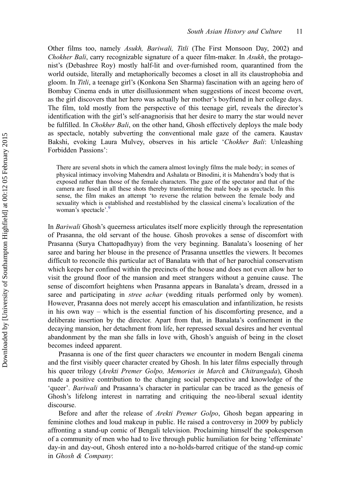Other films too, namely Asukh, Bariwali, Titli (The First Monsoon Day, 2002) and Chokher Bali, carry recognizable signature of a queer film-maker. In Asukh, the protagonist's (Debashree Roy) mostly half-lit and over-furnished room, quarantined from the world outside, literally and metaphorically becomes a closet in all its claustrophobia and gloom. In Titli, a teenage girl's (Konkona Sen Sharma) fascination with an ageing hero of Bombay Cinema ends in utter disillusionment when suggestions of incest become overt, as the girl discovers that her hero was actually her mother's boyfriend in her college days. The film, told mostly from the perspective of this teenage girl, reveals the director's identification with the girl's self-anagnorisis that her desire to marry the star would never be fulfilled. In *Chokher Bali*, on the other hand, Ghosh effectively deploys the male body as spectacle, notably subverting the conventional male gaze of the camera. Kaustav Bakshi, evoking Laura Mulvey, observes in his article 'Chokher Bali: Unleashing Forbidden Passions':

There are several shots in which the camera almost lovingly films the male body; in scenes of physical intimacy involving Mahendra and Ashalata or Binodini, it is Mahendra's body that is exposed rather than those of the female characters. The gaze of the spectator and that of the camera are fused in all these shots thereby transforming the male body as spectacle. In this sense, the film makes an attempt 'to reverse the relation between the female body and sexuality which is established and reestablished by the classical cinema's localization of the woman's spectacle'. [9](#page-15-0)

In *Bariwali* Ghosh's queerness articulates itself more explicitly through the representation of Prasanna, the old servant of the house. Ghosh provokes a sense of discomfort with Prasanna (Surya Chattopadhyay) from the very beginning. Banalata's loosening of her saree and baring her blouse in the presence of Prasanna unsettles the viewers. It becomes difficult to reconcile this particular act of Banalata with that of her parochial conservatism which keeps her confined within the precincts of the house and does not even allow her to visit the ground floor of the mansion and meet strangers without a genuine cause. The sense of discomfort heightens when Prasanna appears in Banalata's dream, dressed in a saree and participating in *stree achar* (wedding rituals performed only by women). However, Prasanna does not merely accept his emasculation and infantilization, he resists in his own way – which is the essential function of his discomforting presence, and a deliberate insertion by the director. Apart from that, in Banalata's confinement in the decaying mansion, her detachment from life, her repressed sexual desires and her eventual abandonment by the man she falls in love with, Ghosh's anguish of being in the closet becomes indeed apparent.

Prasanna is one of the first queer characters we encounter in modern Bengali cinema and the first visibly queer character created by Ghosh. In his later films especially through his queer trilogy (Arekti Premer Golpo, Memories in March and Chitrangada), Ghosh made a positive contribution to the changing social perspective and knowledge of the 'queer'. Bariwali and Prasanna's character in particular can be traced as the genesis of Ghosh's lifelong interest in narrating and critiquing the neo-liberal sexual identity discourse.

Before and after the release of *Arekti Premer Golpo*, Ghosh began appearing in feminine clothes and loud makeup in public. He raised a controversy in 2009 by publicly affronting a stand-up comic of Bengali television. Proclaiming himself the spokesperson of a community of men who had to live through public humiliation for being 'effeminate' day-in and day-out, Ghosh entered into a no-holds-barred critique of the stand-up comic in Ghosh & Company: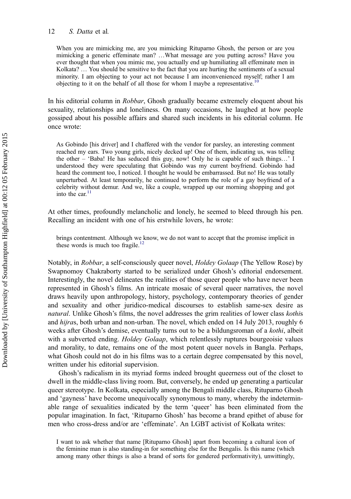#### 12 S. Datta et al.

When you are mimicking me, are you mimicking Rituparno Ghosh, the person or are you mimicking a generic effeminate man? …What message are you putting across? Have you ever thought that when you mimic me, you actually end up humiliating all effeminate men in Kolkata? … You should be sensitive to the fact that you are hurting the sentiments of a sexual minority. I am objecting to your act not because I am inconvenienced myself; rather I am objecting to it on the behalf of all those for whom I maybe a representative.<sup>[10](#page-15-0)</sup>

In his editorial column in *Robbar*, Ghosh gradually became extremely eloquent about his sexuality, relationships and loneliness. On many occasions, he laughed at how people gossiped about his possible affairs and shared such incidents in his editorial column. He once wrote:

As Gobindo [his driver] and I chaffered with the vendor for parsley, an interesting comment reached my ears. Two young girls, nicely decked up! One of them, indicating us, was telling the other – 'Baba! He has seduced this guy, now! Only he is capable of such things…' I understood they were speculating that Gobindo was my current boyfriend. Gobindo had heard the comment too, I noticed. I thought he would be embarrassed. But no! He was totally unperturbed. At least temporarily, he continued to perform the role of a gay boyfriend of a celebrity without demur. And we, like a couple, wrapped up our morning shopping and got into the car.<sup>[11](#page-15-0)</sup>

At other times, profoundly melancholic and lonely, he seemed to bleed through his pen. Recalling an incident with one of his erstwhile lovers, he wrote:

brings contentment. Although we know, we do not want to accept that the promise implicit in these words is much too fragile. $^{12}$ 

Notably, in Robbar, a self-consciously queer novel, Holdey Golaap (The Yellow Rose) by Swapnomoy Chakraborty started to be serialized under Ghosh's editorial endorsement. Interestingly, the novel delineates the realities of those queer people who have never been represented in Ghosh's films. An intricate mosaic of several queer narratives, the novel draws heavily upon anthropology, history, psychology, contemporary theories of gender and sexuality and other juridico-medical discourses to establish same-sex desire as natural. Unlike Ghosh's films, the novel addresses the grim realities of lower class kothis and hijras, both urban and non-urban. The novel, which ended on 14 July 2013, roughly 6 weeks after Ghosh's demise, eventually turns out to be a bildungsroman of a *kothi*, albeit with a subverted ending. *Holdey Golaap*, which relentlessly ruptures bourgeoisie values and morality, to date, remains one of the most potent queer novels in Bangla. Perhaps, what Ghosh could not do in his films was to a certain degree compensated by this novel, written under his editorial supervision.

Ghosh's radicalism in its myriad forms indeed brought queerness out of the closet to dwell in the middle-class living room. But, conversely, he ended up generating a particular queer stereotype. In Kolkata, especially among the Bengali middle class, Rituparno Ghosh and 'gayness' have become unequivocally synonymous to many, whereby the indeterminable range of sexualities indicated by the term 'queer' has been eliminated from the popular imagination. In fact, 'Rituparno Ghosh' has become a brand epithet of abuse for men who cross-dress and/or are 'effeminate'. An LGBT activist of Kolkata writes:

I want to ask whether that name [Rituparno Ghosh] apart from becoming a cultural icon of the feminine man is also standing-in for something else for the Bengalis. Is this name (which among many other things is also a brand of sorts for gendered performativity), unwittingly,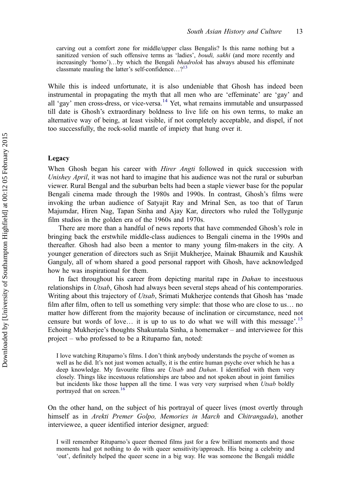carving out a comfort zone for middle/upper class Bengalis? Is this name nothing but a sanitized version of such offensive terms as 'ladies', boudi, sakhi (and more recently and increasingly 'homo')…by which the Bengali *bhadrolok* has always abused his effeminate classmate mauling the latter's self-confidence...?<sup>[13](#page-15-0)</sup>

While this is indeed unfortunate, it is also undeniable that Ghosh has indeed been instrumental in propagating the myth that all men who are 'effeminate' are 'gay' and all 'gay' men cross-dress, or vice-versa.[14](#page-15-0) Yet, what remains immutable and unsurpassed till date is Ghosh's extraordinary boldness to live life on his own terms, to make an alternative way of being, at least visible, if not completely acceptable, and dispel, if not too successfully, the rock-solid mantle of impiety that hung over it.

#### Legacy

When Ghosh began his career with *Hirer Angti* followed in quick succession with Unishey April, it was not hard to imagine that his audience was not the rural or suburban viewer. Rural Bengal and the suburban belts had been a staple viewer base for the popular Bengali cinema made through the 1980s and 1990s. In contrast, Ghosh's films were invoking the urban audience of Satyajit Ray and Mrinal Sen, as too that of Tarun Majumdar, Hiren Nag, Tapan Sinha and Ajay Kar, directors who ruled the Tollygunje film studios in the golden era of the 1960s and 1970s.

There are more than a handful of news reports that have commended Ghosh's role in bringing back the erstwhile middle-class audiences to Bengali cinema in the 1990s and thereafter. Ghosh had also been a mentor to many young film-makers in the city. A younger generation of directors such as Srijit Mukherjee, Mainak Bhaumik and Kaushik Ganguly, all of whom shared a good personal rapport with Ghosh, have acknowledged how he was inspirational for them.

In fact throughout his career from depicting marital rape in *Dahan* to incestuous relationships in *Utsab*, Ghosh had always been several steps ahead of his contemporaries. Writing about this trajectory of Utsab, Srimati Mukherjee contends that Ghosh has 'made film after film, often to tell us something very simple: that those who are close to us… no matter how different from the majority because of inclination or circumstance, need not censure but words of love... it is up to us to do what we will with this message'.<sup>[15](#page-15-0)</sup> Echoing Mukherjee's thoughts Shakuntala Sinha, a homemaker – and interviewee for this project – who professed to be a Rituparno fan, noted:

I love watching Rituparno's films. I don't think anybody understands the psyche of women as well as he did. It's not just women actually, it is the entire human psyche over which he has a deep knowledge. My favourite films are *Utsab* and *Dahan*. I identified with them very closely. Things like incestuous relationships are taboo and not spoken about in joint families but incidents like those happen all the time. I was very very surprised when Utsab boldly portrayed that on screen.<sup>[16](#page-15-0)</sup>

On the other hand, on the subject of his portrayal of queer lives (most overtly through himself as in Arekti Premer Golpo, Memories in March and Chitrangada), another interviewee, a queer identified interior designer, argued:

I will remember Rituparno's queer themed films just for a few brilliant moments and those moments had got nothing to do with queer sensitivity/approach. His being a celebrity and 'out', definitely helped the queer scene in a big way. He was someone the Bengali middle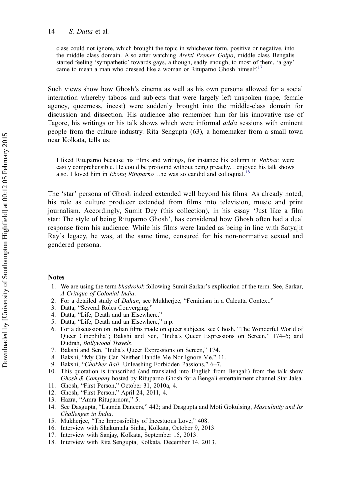#### <span id="page-15-0"></span>14 S. Datta et al.

class could not ignore, which brought the topic in whichever form, positive or negative, into the middle class domain. Also after watching Arekti Premer Golpo, middle class Bengalis started feeling 'sympathetic' towards gays, although, sadly enough, to most of them, 'a gay' came to mean a man who dressed like a woman or Rituparno Ghosh himself.<sup>17</sup>

Such views show how Ghosh's cinema as well as his own persona allowed for a social interaction whereby taboos and subjects that were largely left unspoken (rape, female agency, queerness, incest) were suddenly brought into the middle-class domain for discussion and dissection. His audience also remember him for his innovative use of Tagore, his writings or his talk shows which were informal adda sessions with eminent people from the culture industry. Rita Sengupta (63), a homemaker from a small town near Kolkata, tells us:

I liked Rituparno because his films and writings, for instance his column in Robbar, were easily comprehensible. He could be profound without being preachy. I enjoyed his talk shows also. I loved him in *Ebong Rituparno*...he was so candid and colloquial.<sup>1</sup>

The 'star' persona of Ghosh indeed extended well beyond his films. As already noted, his role as culture producer extended from films into television, music and print journalism. Accordingly, Sumit Dey (this collection), in his essay 'Just like a film star: The style of being Rituparno Ghosh', has considered how Ghosh often had a dual response from his audience. While his films were lauded as being in line with Satyajit Ray's legacy, he was, at the same time, censured for his non-normative sexual and gendered persona.

#### **Notes**

- 1. We are using the term bhadrolok following Sumit Sarkar's explication of the term. See, Sarkar, A Critique of Colonial India.
- 2. For a detailed study of *Dahan*, see Mukherjee, "Feminism in a Calcutta Context."
- 3. Datta, "Several Roles Converging."
- 4. Datta, "Life, Death and an Elsewhere."
- 5. Datta, "Life, Death and an Elsewhere," n.p.
- 6. For a discussion on Indian films made on queer subjects, see Ghosh, "The Wonderful World of Queer Cinephilia"; Bakshi and Sen, "India's Queer Expressions on Screen," 174–5; and Dudrah, Bollywood Travels.
- 7. Bakshi and Sen, "India's Queer Expressions on Screen," 174.
- 8. Bakshi, "My City Can Neither Handle Me Nor Ignore Me," 11.
- 9. Bakshi, "Chokher Bali: Unleashing Forbidden Passions," 6–7.
- 10. This quotation is transcribed (and translated into English from Bengali) from the talk show Ghosh & Company hosted by Rituparno Ghosh for a Bengali entertainment channel Star Jalsa.
- 11. Ghosh, "First Person," October 31, 2010a, 4.
- 12. Ghosh, "First Person," April 24, 2011, 4.
- 13. Hazra, "Amra Rituparnora," 5.
- 14. See Dasgupta, "Launda Dancers," 442; and Dasgupta and Moti Gokulsing, Masculinity and Its Challenges in India.
- 15. Mukherjee, "The Impossibility of Incestuous Love," 408.
- 16. Interview with Shakuntala Sinha, Kolkata, October 9, 2013.
- 17. Interview with Sanjay, Kolkata, September 15, 2013.
- 18. Interview with Rita Sengupta, Kolkata, December 14, 2013.